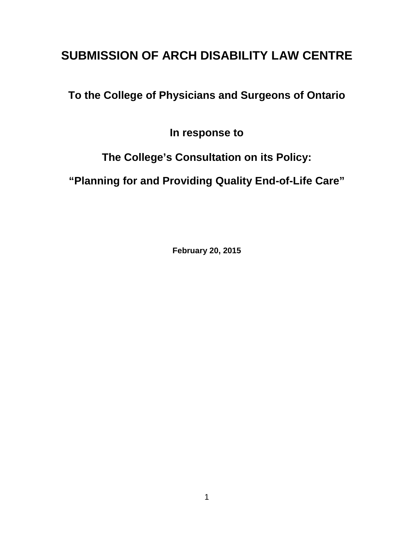# **SUBMISSION OF ARCH DISABILITY LAW CENTRE**

**To the College of Physicians and Surgeons of Ontario** 

**In response to** 

**The College's Consultation on its Policy:**

**"Planning for and Providing Quality End-of-Life Care"** 

**February 20, 2015**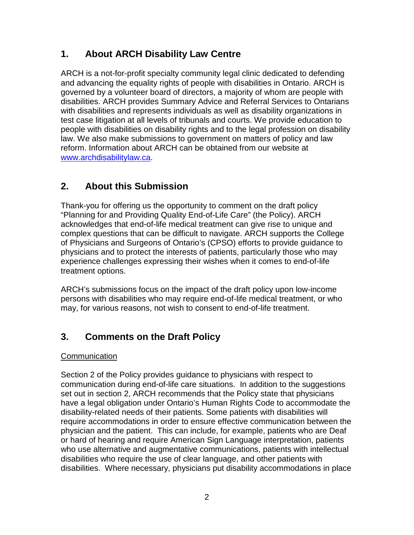# **1. About ARCH Disability Law Centre**

ARCH is a not-for-profit specialty community legal clinic dedicated to defending and advancing the equality rights of people with disabilities in Ontario. ARCH is governed by a volunteer board of directors, a majority of whom are people with disabilities. ARCH provides Summary Advice and Referral Services to Ontarians with disabilities and represents individuals as well as disability organizations in test case litigation at all levels of tribunals and courts. We provide education to people with disabilities on disability rights and to the legal profession on disability law. We also make submissions to government on matters of policy and law reform. Information about ARCH can be obtained from our website at [www.archdisabilitylaw.ca.](http://www.archdisabilitylaw.ca/)

# **2. About this Submission**

Thank-you for offering us the opportunity to comment on the draft policy "Planning for and Providing Quality End-of-Life Care" (the Policy). ARCH acknowledges that end-of-life medical treatment can give rise to unique and complex questions that can be difficult to navigate. ARCH supports the College of Physicians and Surgeons of Ontario's (CPSO) efforts to provide guidance to physicians and to protect the interests of patients, particularly those who may experience challenges expressing their wishes when it comes to end-of-life treatment options.

ARCH's submissions focus on the impact of the draft policy upon low-income persons with disabilities who may require end-of-life medical treatment, or who may, for various reasons, not wish to consent to end-of-life treatment.

# **3. Comments on the Draft Policy**

## **Communication**

Section 2 of the Policy provides guidance to physicians with respect to communication during end-of-life care situations. In addition to the suggestions set out in section 2, ARCH recommends that the Policy state that physicians have a legal obligation under Ontario's Human Rights Code to accommodate the disability-related needs of their patients. Some patients with disabilities will require accommodations in order to ensure effective communication between the physician and the patient. This can include, for example, patients who are Deaf or hard of hearing and require American Sign Language interpretation, patients who use alternative and augmentative communications, patients with intellectual disabilities who require the use of clear language, and other patients with disabilities. Where necessary, physicians put disability accommodations in place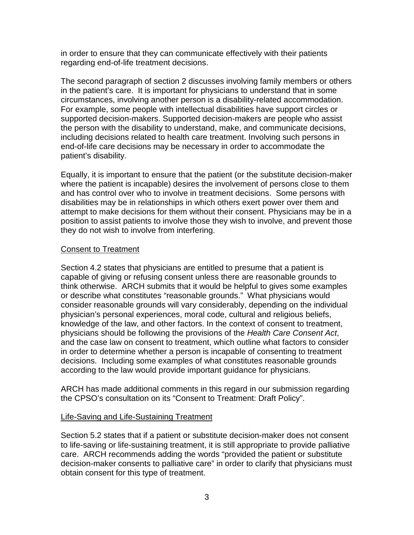in order to ensure that they can communicate effectively with their patients regarding end-of-life treatment decisions.

The second paragraph of section 2 discusses involving family members or others in the patient's care. It is important for physicians to understand that in some circumstances, involving another person is a disability-related accommodation. For example, some people with intellectual disabilities have support circles or supported decision-makers. Supported decision-makers are people who assist the person with the disability to understand, make, and communicate decisions, including decisions related to health care treatment. Involving such persons in end-of-life care decisions may be necessary in order to accommodate the patient's disability.

Equally, it is important to ensure that the patient (or the substitute decision-maker where the patient is incapable) desires the involvement of persons close to them and has control over who to involve in treatment decisions. Some persons with disabilities may be in relationships in which others exert power over them and attempt to make decisions for them without their consent. Physicians may be in a position to assist patients to involve those they wish to involve, and prevent those they do not wish to involve from interfering.

#### Consent to Treatment

Section 4.2 states that physicians are entitled to presume that a patient is capable of giving or refusing consent unless there are reasonable grounds to think otherwise. ARCH submits that it would be helpful to gives some examples or describe what constitutes "reasonable grounds." What physicians would consider reasonable grounds will vary considerably, depending on the individual physician's personal experiences, moral code, cultural and religious beliefs, knowledge of the law, and other factors. In the context of consent to treatment, physicians should be following the provisions of the *Health Care Consent Act*, and the case law on consent to treatment, which outline what factors to consider in order to determine whether a person is incapable of consenting to treatment decisions. Including some examples of what constitutes reasonable grounds according to the law would provide important guidance for physicians.

ARCH has made additional comments in this regard in our submission regarding the CPSO's consultation on its "Consent to Treatment: Draft Policy".

## Life-Saving and Life-Sustaining Treatment

Section 5.2 states that if a patient or substitute decision-maker does not consent to life-saving or life-sustaining treatment, it is still appropriate to provide palliative care. ARCH recommends adding the words "provided the patient or substitute decision-maker consents to palliative care" in order to clarify that physicians must obtain consent for this type of treatment.